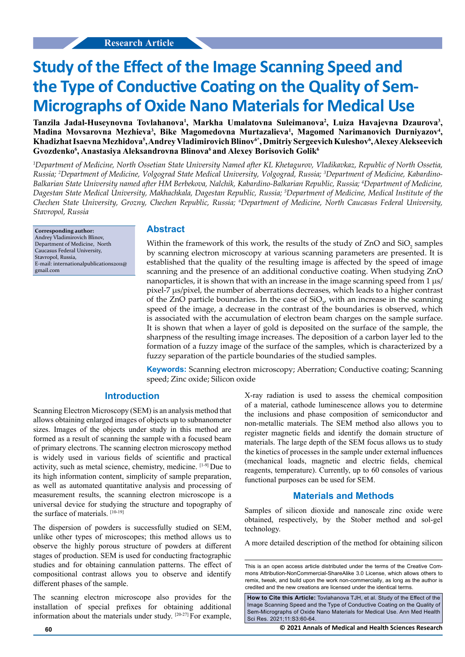# **Study of the Effect of the Image Scanning Speed and the Type of Conductive Coating on the Quality of Sem-Micrographs of Oxide Nano Materials for Medical Use**

Tanzila Jadal-Huseynovna Tovlahanova<sup>1</sup>, Markha Umalatovna Suleimanova<sup>2</sup>, Luiza Havajevna Dzaurova<sup>3</sup>, Madina Movsarovna Mezhieva<sup>3</sup>, Bike Magomedovna Murtazalieva<sup>1</sup>, Magomed Narimanovich Durniyazov<sup>4</sup>, **Khadizhat Isaevna Mezhidova5 , Andrey Vladimirovich Blinov6\*, Dmitriy Sergeevich Kuleshov6 , Alexey Alekseevich**  Gvozdenko<sup>6</sup>, Anastasiya Aleksandrovna Blinova<sup>6</sup> and Alexey Borisovich Golik<sup>6</sup>

*1 Department of Medicine, North Ossetian State University Named after KL Khetagurov, Vladikavkaz, Republic of North Ossetia, Russia; 2 Department of Medicine, Volgograd State Medical University, Volgograd, Russia; 3 Department of Medicine, Kabardino-Balkarian State University named after HM Berbekova, Nalchik, Kabardino-Balkarian Republic, Russia; 4 Department of Medicine, Dagestan State Medical University, Makhachkala, Dagestan Republic, Russia; 5 Department of Medicine, Medical Institute of the Chechen State University, Grozny, Chechen Republic, Russia; 6 Department of Medicine, North Caucasus Federal University, Stavropol, Russia*

**Corresponding author:** Andrey Vladimirovich Blinov, Department of Medicine, North Caucasus Federal University, Stavropol, Russia, E-mail: internationalpublications2011@ gmail.com

#### **Abstract**

Within the framework of this work, the results of the study of  $ZnO$  and  $SiO_2$  samples by scanning electron microscopy at various scanning parameters are presented. It is established that the quality of the resulting image is affected by the speed of image scanning and the presence of an additional conductive coating. When studying ZnO nanoparticles, it is shown that with an increase in the image scanning speed from  $1 \mu s$ / pixel-7 µs/pixel, the number of aberrations decreases, which leads to a higher contrast of the ZnO particle boundaries. In the case of  $SiO<sub>2</sub>$ , with an increase in the scanning speed of the image, a decrease in the contrast of the boundaries is observed, which is associated with the accumulation of electron beam charges on the sample surface. It is shown that when a layer of gold is deposited on the surface of the sample, the sharpness of the resulting image increases. The deposition of a carbon layer led to the formation of a fuzzy image of the surface of the samples, which is characterized by a fuzzy separation of the particle boundaries of the studied samples.

**Keywords:** Scanning electron microscopy; Aberration; Conductive coating; Scanning speed; Zinc oxide; Silicon oxide

#### **Introduction**

Scanning Electron Microscopy (SEM) is an analysis method that allows obtaining enlarged images of objects up to subnanometer sizes. Images of the objects under study in this method are formed as a result of scanning the sample with a focused beam of primary electrons. The scanning electron microscopy method is widely used in various fields of scientific and practical activity, such as metal science, chemistry, medicine. [1-9] Due to its high information content, simplicity of sample preparation, as well as automated quantitative analysis and processing of measurement results, the scanning electron microscope is a universal device for studying the structure and topography of the surface of materials. [10-19]

The dispersion of powders is successfully studied on SEM, unlike other types of microscopes; this method allows us to observe the highly porous structure of powders at different stages of production. SEM is used for conducting fractographic studies and for obtaining cannulation patterns. The effect of compositional contrast allows you to observe and identify different phases of the sample.

The scanning electron microscope also provides for the installation of special prefixes for obtaining additional information about the materials under study. [20-27] For example, X-ray radiation is used to assess the chemical composition of a material, cathode luminescence allows you to determine the inclusions and phase composition of semiconductor and non-metallic materials. The SEM method also allows you to register magnetic fields and identify the domain structure of materials. The large depth of the SEM focus allows us to study the kinetics of processes in the sample under external influences (mechanical loads, magnetic and electric fields, chemical reagents, temperature). Currently, up to 60 consoles of various functional purposes can be used for SEM.

#### **Materials and Methods**

Samples of silicon dioxide and nanoscale zinc oxide were obtained, respectively, by the Stober method and sol-gel technology.

A more detailed description of the method for obtaining silicon

**60 © 2021 Annals of Medical and Health Sciences Research** 

This is an open access article distributed under the terms of the Creative Commons Attribution‑NonCommercial‑ShareAlike 3.0 License, which allows others to remix, tweak, and build upon the work non‑commercially, as long as the author is credited and the new creations are licensed under the identical terms.

**How to Cite this Article:** Tovlahanova TJH, et al. Study of the Effect of the Image Scanning Speed and the Type of Conductive Coating on the Quality of Sem-Micrographs of Oxide Nano Materials for Medical Use. Ann Med Health Sci Res. 2021;11:S3:60-64.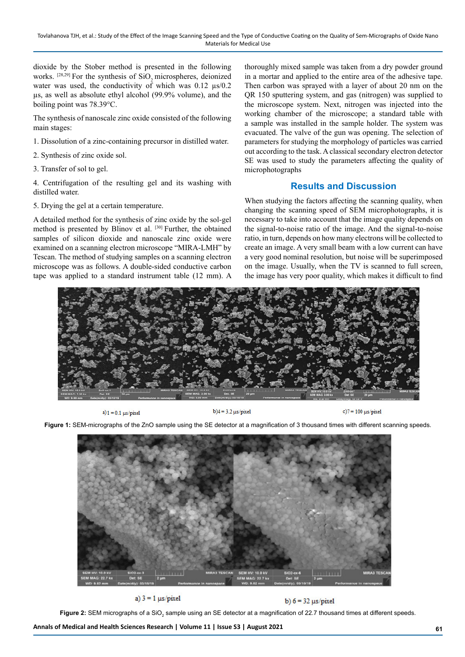dioxide by the Stober method is presented in the following works.  $[28,29]$  For the synthesis of SiO<sub>2</sub> microspheres, deionized water was used, the conductivity of which was  $0.12 \mu s / 0.2$ µs, as well as absolute ethyl alcohol (99.9% volume), and the boiling point was 78.39°C.

The synthesis of nanoscale zinc oxide consisted of the following main stages:

- 1. Dissolution of a zinc-containing precursor in distilled water.
- 2. Synthesis of zinc oxide sol.
- 3. Transfer of sol to gel.

4. Centrifugation of the resulting gel and its washing with distilled water.

5. Drying the gel at a certain temperature.

A detailed method for the synthesis of zinc oxide by the sol-gel method is presented by Blinov et al. [30] Further, the obtained samples of silicon dioxide and nanoscale zinc oxide were examined on a scanning electron microscope "MIRA-LMH" by Tescan. The method of studying samples on a scanning electron microscope was as follows. A double-sided conductive carbon tape was applied to a standard instrument table (12 mm). A

thoroughly mixed sample was taken from a dry powder ground in a mortar and applied to the entire area of the adhesive tape. Then carbon was sprayed with a layer of about 20 nm on the QR 150 sputtering system, and gas (nitrogen) was supplied to the microscope system. Next, nitrogen was injected into the working chamber of the microscope; a standard table with a sample was installed in the sample holder. The system was evacuated. The valve of the gun was opening. The selection of parameters for studying the morphology of particles was carried out according to the task. A classical secondary electron detector SE was used to study the parameters affecting the quality of microphotographs

## **Results and Discussion**

When studying the factors affecting the scanning quality, when changing the scanning speed of SEM microphotographs, it is necessary to take into account that the image quality depends on the signal-to-noise ratio of the image. And the signal-to-noise ratio, in turn, depends on how many electrons will be collected to create an image. A very small beam with a low current can have a very good nominal resolution, but noise will be superimposed on the image. Usually, when the TV is scanned to full screen, the image has very poor quality, which makes it difficult to find



 $a$ ) 1 = 0.1  $\mu$ s/pixel

 $b)4 = 3.2 \mu s / pixel$ 

 $c$ )7 = 100  $\mu$ s/pixel

**Figure 1:** SEM-micrographs of the ZnO sample using the SE detector at a magnification of 3 thousand times with different scanning speeds.



a)  $3 = 1$   $\mu s / pixel$ 

b)  $6 = 32 \mu s / pixel$ 

**Figure 2:** SEM micrographs of a SiO<sub>2</sub> sample using an SE detector at a magnification of 22.7 thousand times at different speeds.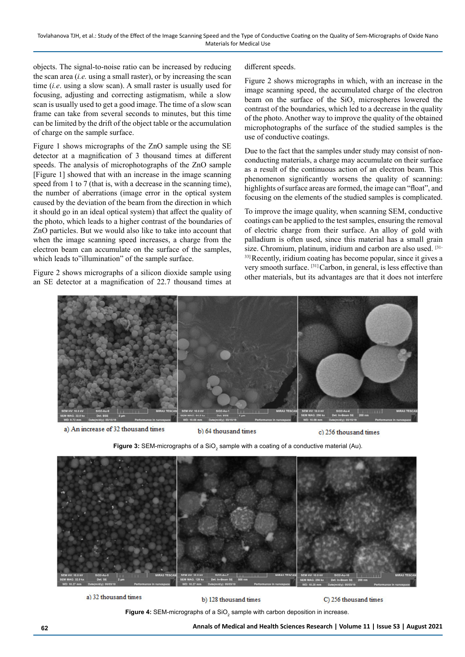objects. The signal-to-noise ratio can be increased by reducing the scan area (*i.e.* using a small raster), or by increasing the scan time (*i.e*. using a slow scan). A small raster is usually used for focusing, adjusting and correcting astigmatism, while a slow scan is usually used to get a good image. The time of a slow scan frame can take from several seconds to minutes, but this time can be limited by the drift of the object table or the accumulation of charge on the sample surface.

Figure 1 shows micrographs of the ZnO sample using the SE detector at a magnification of 3 thousand times at different speeds. The analysis of microphotographs of the ZnO sample [Figure 1] showed that with an increase in the image scanning speed from 1 to 7 (that is, with a decrease in the scanning time), the number of aberrations (image error in the optical system caused by the deviation of the beam from the direction in which it should go in an ideal optical system) that affect the quality of the photo, which leads to a higher contrast of the boundaries of ZnO particles. But we would also like to take into account that when the image scanning speed increases, a charge from the electron beam can accumulate on the surface of the samples, which leads to"illumination" of the sample surface.

Figure 2 shows micrographs of a silicon dioxide sample using an SE detector at a magnification of 22.7 thousand times at different speeds.

Figure 2 shows micrographs in which, with an increase in the image scanning speed, the accumulated charge of the electron beam on the surface of the  $SiO_2$  microspheres lowered the contrast of the boundaries, which led to a decrease in the quality of the photo. Another way to improve the quality of the obtained microphotographs of the surface of the studied samples is the use of conductive coatings.

Due to the fact that the samples under study may consist of nonconducting materials, a charge may accumulate on their surface as a result of the continuous action of an electron beam. This phenomenon significantly worsens the quality of scanning: highlights of surface areas are formed, the image can "float", and focusing on the elements of the studied samples is complicated.

To improve the image quality, when scanning SEM, conductive coatings can be applied to the test samples, ensuring the removal of electric charge from their surface. An alloy of gold with palladium is often used, since this material has a small grain size. Chromium, platinum, iridium and carbon are also used. [31- 33] Recently, iridium coating has become popular, since it gives a very smooth surface. [31] Carbon, in general, is less effective than other materials, but its advantages are that it does not interfere



a) An increase of 32 thousand times

b) 64 thousand times

c) 256 thousand times

**Figure 3:** SEM-micrographs of a SiO $_2$  sample with a coating of a conductive material (Au).



a) 32 thousand times

b) 128 thousand times

C) 256 thousand times

**Figure 4:** SEM-micrographs of a SiO $_2$  sample with carbon deposition in increase.

**62 Annals of Medical and Health Sciences Research | Volume 11 | Issue S3 | August 2021**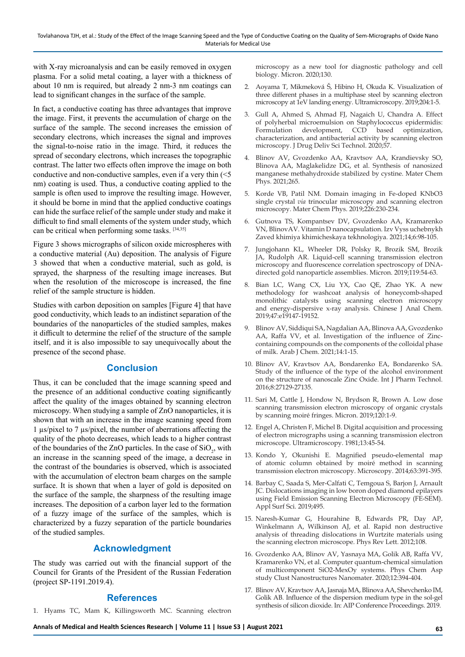with X-ray microanalysis and can be easily removed in oxygen plasma. For a solid metal coating, a layer with a thickness of about 10 nm is required, but already 2 nm-3 nm coatings can lead to significant changes in the surface of the sample.

In fact, a conductive coating has three advantages that improve the image. First, it prevents the accumulation of charge on the surface of the sample. The second increases the emission of secondary electrons, which increases the signal and improves the signal-to-noise ratio in the image. Third, it reduces the spread of secondary electrons, which increases the topographic contrast. The latter two effects often improve the image on both conductive and non-conductive samples, even if a very thin (<5 nm) coating is used. Thus, a conductive coating applied to the sample is often used to improve the resulting image. However, it should be borne in mind that the applied conductive coatings can hide the surface relief of the sample under study and make it difficult to find small elements of the system under study, which can be critical when performing some tasks. [34,35]

Figure 3 shows micrographs of silicon oxide microspheres with a conductive material (Au) deposition. The analysis of Figure 3 showed that when a conductive material, such as gold, is sprayed, the sharpness of the resulting image increases. But when the resolution of the microscope is increased, the fine relief of the sample structure is hidden.

Studies with carbon deposition on samples [Figure 4] that have good conductivity, which leads to an indistinct separation of the boundaries of the nanoparticles of the studied samples, makes it difficult to determine the relief of the structure of the sample itself, and it is also impossible to say unequivocally about the presence of the second phase.

# **Conclusion**

Thus, it can be concluded that the image scanning speed and the presence of an additional conductive coating significantly affect the quality of the images obtained by scanning electron microscopy. When studying a sample of ZnO nanoparticles, it is shown that with an increase in the image scanning speed from 1 µs/pixel to 7 µs/pixel, the number of aberrations affecting the quality of the photo decreases, which leads to a higher contrast of the boundaries of the ZnO particles. In the case of  $SiO_2$ , with an increase in the scanning speed of the image, a decrease in the contrast of the boundaries is observed, which is associated with the accumulation of electron beam charges on the sample surface. It is shown that when a layer of gold is deposited on the surface of the sample, the sharpness of the resulting image increases. The deposition of a carbon layer led to the formation of a fuzzy image of the surface of the samples, which is characterized by a fuzzy separation of the particle boundaries of the studied samples.

# **Acknowledgment**

The study was carried out with the financial support of the Council for Grants of the President of the Russian Federation (project SP-1191.2019.4).

## **References**

1. Hyams TC, Mam K, Killingsworth MC. Scanning electron

microscopy as a new tool for diagnostic pathology and cell biology. Micron. 2020;130.

- 2. Aoyama T, Mikmeková Š, Hibino H, Okuda K. Visualization of three different phases in a multiphase steel by scanning electron microscopy at 1eV landing energy. Ultramicroscopy. 2019;204:1-5.
- 3. Gull A, Ahmed S, Ahmad FJ, Nagaich U, Chandra A. Effect of polyherbal microemulsion on Staphylococcus epidermidis: Formulation development, CCD based optimization, characterization, and antibacterial activity by scanning electron microscopy. J Drug Deliv Sci Technol. 2020;57.
- 4. Blinov AV, Gvozdenko AA, Kravtsov AA, Krandievsky SO, Blinova AA, Maglakelidze DG, et al. Synthesis of nanosized manganese methahydroxide stabilized by cystine. Mater Chem Phys. 2021;265.
- 5. Korde VB, Patil NM. Domain imaging in Fe-doped KNbO3 single crystal *via* trinocular microscopy and scanning electron microscopy. Mater Chem Phys. 2019;226:230-234.
- 6. Gutnova TS, Kompantsev DV, Gvozdenko AA, Kramarenko VN, BlinovAV. Vitamin D nanocapsulation. Izv Vyss uchebnykh Zaved khimiya khimicheskaya tekhnologiya. 2021;14;6:98-105.
- 7. Jungjohann KL, Wheeler DR, Polsky R, Brozik SM, Brozik JA, Rudolph AR. Liquid-cell scanning transmission electron microscopy and fluorescence correlation spectroscopy of DNAdirected gold nanoparticle assemblies. Micron. 2019;119:54-63.
- 8. Bian LC, Wang CX, Liu YX, Cao QE, Zhao YK. A new methodology for washcoat analysis of honeycomb-shaped monolithic catalysts using scanning electron microscopy and energy-dispersive x-ray analysis. Chinese J Anal Chem. 2019;47:e19147-19152.
- 9. Blinov AV, Siddiqui SA, Nagdalian AA, Blinova AA, Gvozdenko AA, Raffa VV, et al. Investigation of the influence of Zinccontaining compounds on the components of the colloidal phase of milk. Arab J Chem. 2021;14:1-15.
- 10. Blinov AV, Kravtsov AA, Bondarenko EA, Bondarenko SA. Study of the influence of the type of the alcohol environment on the structure of nanoscale Zinc Oxide. Int J Pharm Technol. 2016;8:27129-27135.
- 11. Sari M, Cattle J, Hondow N, Brydson R, Brown A. Low dose scanning transmission electron microscopy of organic crystals by scanning moiré fringes. Micron. 2019;120:1-9.
- 12. Engel A, Christen F, Michel B. Digital acquisition and processing of electron micrographs using a scanning transmission electron microscope. Ultramicroscopy. 1981;13:45-54.
- 13. Kondo Y, Okunishi E. Magnified pseudo-elemental map of atomic column obtained by moiré method in scanning transmission electron microscopy. Microscopy. 2014;63:391-395.
- 14. Barbay C, Saada S, Mer-Calfati C, Temgoua S, Barjon J, Arnault JC. Dislocations imaging in low boron doped diamond epilayers using Field Emission Scanning Electron Microscopy (FE-SEM). Appl Surf Sci. 2019;495.
- 15. Naresh-Kumar G, Hourahine B, Edwards PR, Day AP, Winkelmann A, Wilkinson AJ, et al. Rapid non destructive analysis of threading dislocations in Wurtzite materials using the scanning electron microscope. Phys Rev Lett. 2012;108.
- 16. Gvozdenko AA, Blinov AV, Yasnaya MA, Golik AB, Raffa VV, Kramarenko VN, et al. Computer quantum-chemical simulation of multicomponent SiO2-MexOy systems. Phys Chem Asp study Clust Nanostructures Nanomater. 2020;12:394-404.
- 17. Blinov AV, Kravtsov AA, Jasnaja MA, Blinova AA, Shevchenko IM, Golik AB. Influence of the dispersion medium type in the sol-gel synthesis of silicon dioxide. In: AIP Conference Proceedings. 2019.